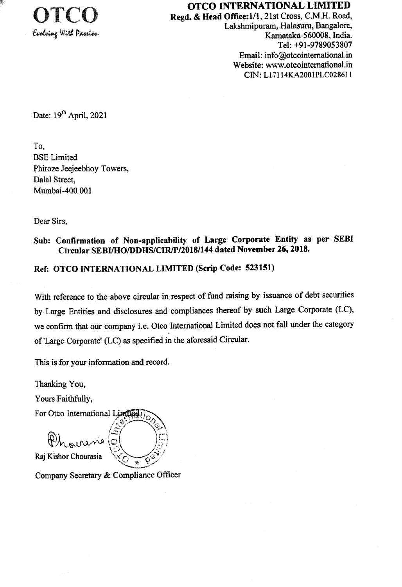

OTCO INTERNATIONAL LIMITED

Regd. & Head Office: 1/1, 21st Cross, C.M.H. Road, Lakshmipuram, Halasuru, Bangalore, Karnataka-560008, India. Tel: +91-9789053807 Email: info@otcointernational.in Website: www.otcointernational.in CIN: L17114KA2001PLC028611

Date: 19<sup>th</sup> April, 2021

To. **BSE** Limited Phiroze Jeejeebhoy Towers, Dalal Street, Mumbai-400 001

Dear Sirs.

## Sub: Confirmation of Non-applicability of Large Corporate Entity as per SEBI Circular SEBI/HO/DDHS/CIR/P/2018/144 dated November 26, 2018.

Ref: OTCO INTERNATIONAL LIMITED (Scrip Code: 523151)

With reference to the above circular in respect of fund raising by issuance of debt securities by Large Entities and disclosures and compliances thereof by such Large Corporate (LC), we confirm that our company i.e. Otco International Limited does not fall under the category of 'Large Corporate' (LC) as specified in the aforesaid Circular.

This is for your information and record.

Thanking You,

Yours Faithfully,

For Otco International Limited:

nasia

Raj Kishor Chourasia

Company Secretary & Compliance Officer